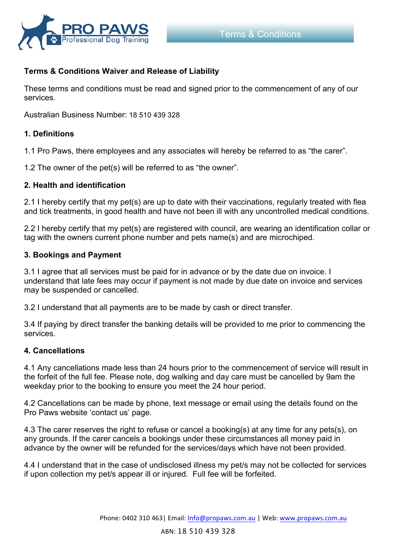

# **Terms & Conditions Waiver and Release of Liability**

These terms and conditions must be read and signed prior to the commencement of any of our services.

Australian Business Number: 18 510 439 328

#### **1. Definitions**

1.1 Pro Paws, there employees and any associates will hereby be referred to as "the carer".

1.2 The owner of the pet(s) will be referred to as "the owner".

#### **2. Health and identification**

2.1 I hereby certify that my pet(s) are up to date with their vaccinations, regularly treated with flea and tick treatments, in good health and have not been ill with any uncontrolled medical conditions.

2.2 I hereby certify that my pet(s) are registered with council, are wearing an identification collar or tag with the owners current phone number and pets name(s) and are microchiped.

#### **3. Bookings and Payment**

3.1 I agree that all services must be paid for in advance or by the date due on invoice. I understand that late fees may occur if payment is not made by due date on invoice and services may be suspended or cancelled.

3.2 I understand that all payments are to be made by cash or direct transfer.

3.4 If paying by direct transfer the banking details will be provided to me prior to commencing the services.

#### **4. Cancellations**

4.1 Any cancellations made less than 24 hours prior to the commencement of service will result in the forfeit of the full fee. Please note, dog walking and day care must be cancelled by 9am the weekday prior to the booking to ensure you meet the 24 hour period.

4.2 Cancellations can be made by phone, text message or email using the details found on the Pro Paws website 'contact us' page.

4.3 The carer reserves the right to refuse or cancel a booking(s) at any time for any pets(s), on any grounds. If the carer cancels a bookings under these circumstances all money paid in advance by the owner will be refunded for the services/days which have not been provided.

4.4 I understand that in the case of undisclosed illness my pet/s may not be collected for services if upon collection my pet/s appear ill or injured. Full fee will be forfeited.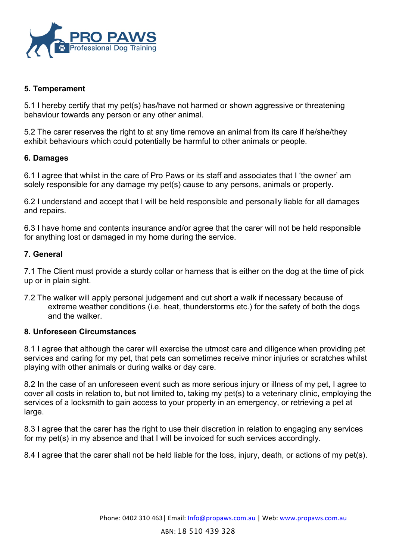

# **5. Temperament**

5.1 I hereby certify that my pet(s) has/have not harmed or shown aggressive or threatening behaviour towards any person or any other animal.

5.2 The carer reserves the right to at any time remove an animal from its care if he/she/they exhibit behaviours which could potentially be harmful to other animals or people.

# **6. Damages**

6.1 I agree that whilst in the care of Pro Paws or its staff and associates that I 'the owner' am solely responsible for any damage my pet(s) cause to any persons, animals or property.

6.2 I understand and accept that I will be held responsible and personally liable for all damages and repairs.

6.3 I have home and contents insurance and/or agree that the carer will not be held responsible for anything lost or damaged in my home during the service.

# **7. General**

7.1 The Client must provide a sturdy collar or harness that is either on the dog at the time of pick up or in plain sight.

7.2 The walker will apply personal judgement and cut short a walk if necessary because of extreme weather conditions (i.e. heat, thunderstorms etc.) for the safety of both the dogs and the walker.

# **8. Unforeseen Circumstances**

8.1 I agree that although the carer will exercise the utmost care and diligence when providing pet services and caring for my pet, that pets can sometimes receive minor injuries or scratches whilst playing with other animals or during walks or day care.

8.2 In the case of an unforeseen event such as more serious injury or illness of my pet, I agree to cover all costs in relation to, but not limited to, taking my pet(s) to a veterinary clinic, employing the services of a locksmith to gain access to your property in an emergency, or retrieving a pet at large.

8.3 I agree that the carer has the right to use their discretion in relation to engaging any services for my pet(s) in my absence and that I will be invoiced for such services accordingly.

8.4 I agree that the carer shall not be held liable for the loss, injury, death, or actions of my pet(s).